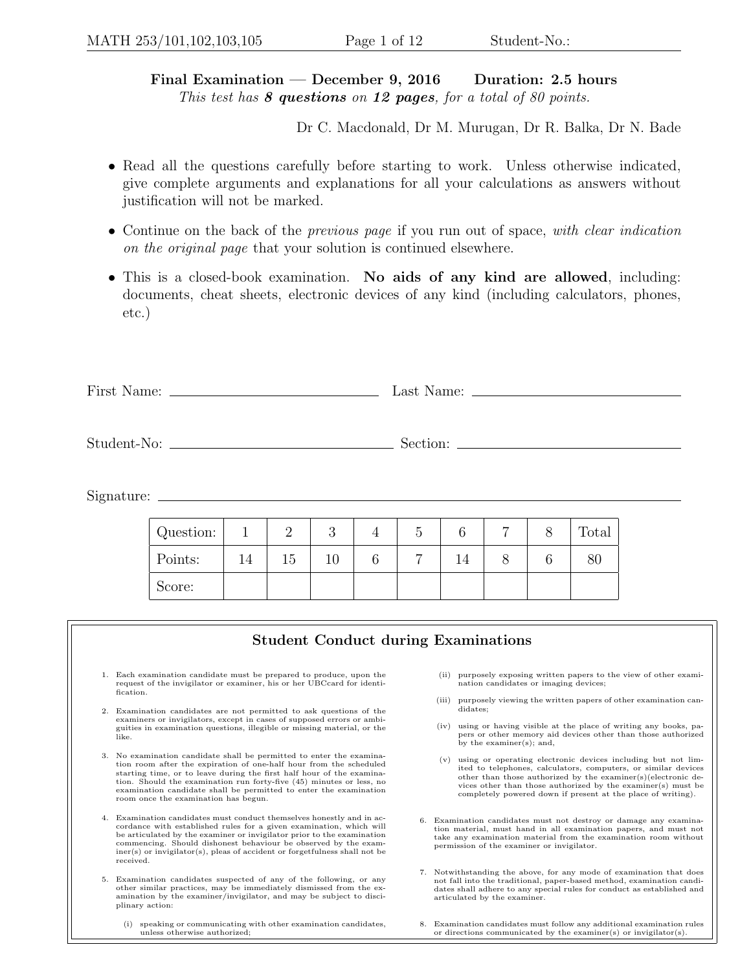## Final Examination — December 9, 2016 Duration: 2.5 hours This test has  $8$  questions on 12 pages, for a total of 80 points.

Dr C. Macdonald, Dr M. Murugan, Dr R. Balka, Dr N. Bade

- Read all the questions carefully before starting to work. Unless otherwise indicated, give complete arguments and explanations for all your calculations as answers without justification will not be marked.
- Continue on the back of the *previous page* if you run out of space, with clear indication on the original page that your solution is continued elsewhere.
- This is a closed-book examination. No aids of any kind are allowed, including: documents, cheat sheets, electronic devices of any kind (including calculators, phones, etc.)

| First<br>Name: | n.<br>Last<br>Name |
|----------------|--------------------|
|----------------|--------------------|

Student-No: Section: Section: Section: Section: Section: Section: Section: Section: Section: Section: Section: Section: Section: Section: Section: Section: Section: Section: Section: Section: Section: Section: Section: Sec

Signature:

| Question: |    | -     | ഩ<br>U | ◡ |    | $\overline{ }$ | Total |
|-----------|----|-------|--------|---|----|----------------|-------|
| Points:   | 14 | $-61$ |        | − | 14 |                | ÕΙ.   |
| Score:    |    |       |        |   |    |                |       |

## Student Conduct during Examinations 1. Each examination candidate must be prepared to produce, upon the request of the invigilator or examiner, his or her UBCcard for identification. 2. Examination candidates are not permitted to ask questions of the examiners or invigilators, except in cases of supposed errors or ambiguities in examination questions, illegible or missing material, or the like. 3. No examination candidate shall be permitted to enter the examination room after the expiration of one-half hour from the scheduled starting time, or to leave during the first half hour of the examination. Should the examination run forty-five (45) minutes or less, no examination candidate shall be permitted to enter the examination room once the examination has begun. 4. Examination candidates must conduct themselves honestly and in accordance with established rules for a given examination, which will be articulated by the examiner or invigilator prior to the examination commencing. Should dishonest behaviour be observed by the examiner(s) or invigilator(s), pleas of accident or forgetfulness shall not be received. 5. Examination candidates suspected of any of the following, or any other similar practices, may be immediately dismissed from the ex-amination by the examiner/invigilator, and may be subject to disciplinary action: (ii) purposely exposing written papers to the view of other examination candidates or imaging devices; (iii) purposely viewing the written papers of other examination candidates; (iv) using or having visible at the place of writing any books, papers or other memory aid devices other than those authorized by the examiner(s); and, (v) using or operating electronic devices including but not limited to telephones, calculators, computers, or similar devices other than those authorized by the examiner(s)(electronic devices other than those authorized by the examiner(s) must be completely powered down if present at the place of writing). 6. Examination candidates must not destroy or damage any examination material, must hand in all examination papers, and must not take any examination material from the examination room without permission of the examiner or invigilator. 7. Notwithstanding the above, for any mode of examination that does not fall into the traditional, paper-based method, examination candidates shall adhere to any special rules for conduct as established and articulated by the examiner.

(i) speaking or communicating with other examination candidates, unless otherwise authorized;

8. Examination candidates must follow any additional examination rules or directions communicated by the examiner(s) or invigilator(s).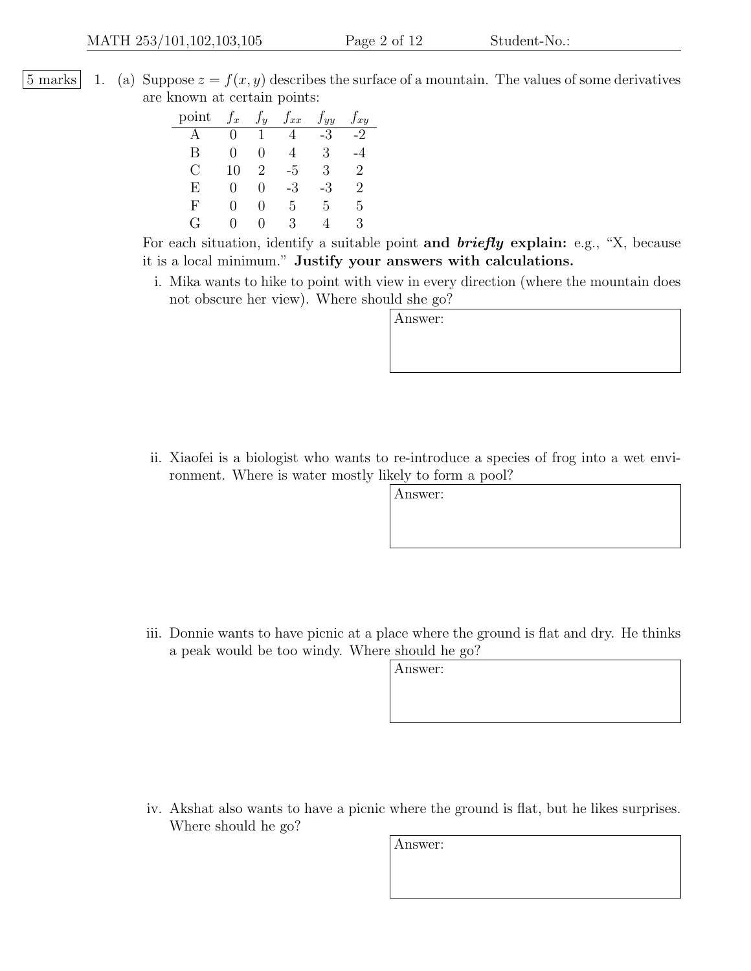5 marks 1. (a) Suppose  $z = f(x, y)$  describes the surface of a mountain. The values of some derivatives are known at certain points:

| point         | $J_x$             | $\overline{y}$              | $f_{xx}$ | yy | $f_{xy}$ |
|---------------|-------------------|-----------------------------|----------|----|----------|
|               | 0                 |                             |          | -3 | -2       |
| В             | 0                 | $\Box$                      |          | З  | -4       |
| $\mathcal{C}$ | 10                | $\mathcal{D}_{\mathcal{L}}$ | -5       | 3  | 2        |
| F,            | 0                 | 0                           | -3       | -3 | 2        |
| F             | $\mathbf{\Omega}$ |                             | 5        | 5  | 5        |
| ( ⊹           | ៸ ៲               |                             | З        |    | 3        |

For each situation, identify a suitable point and  $briefly$  explain: e.g., "X, because it is a local minimum." Justify your answers with calculations.

i. Mika wants to hike to point with view in every direction (where the mountain does not obscure her view). Where should she go?

Answer:

ii. Xiaofei is a biologist who wants to re-introduce a species of frog into a wet environment. Where is water mostly likely to form a pool?

Answer:

iii. Donnie wants to have picnic at a place where the ground is flat and dry. He thinks a peak would be too windy. Where should he go?

Answer:

iv. Akshat also wants to have a picnic where the ground is flat, but he likes surprises. Where should he go?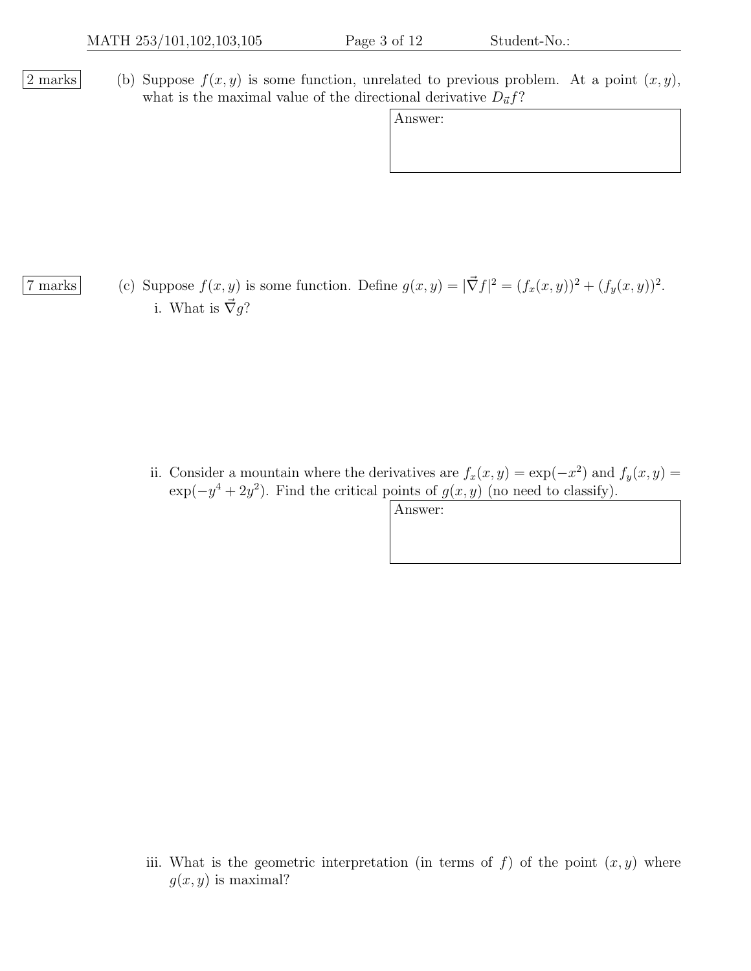|2 marks | (b) Suppose  $f(x, y)$  is some function, unrelated to previous problem. At a point  $(x, y)$ , what is the maximal value of the directional derivative  $D_{\vec{u}}f$ ?

| Answer: |
|---------|
|         |

7 marks (c) Suppose  $f(x, y)$  is some function. Define  $g(x, y) = |\vec{\nabla} f|^2 = (f_x(x, y))^2 + (f_y(x, y))^2$ . i. What is  $\vec{\nabla}g$ ?

> ii. Consider a mountain where the derivatives are  $f_x(x, y) = \exp(-x^2)$  and  $f_y(x, y) =$  $\exp(-y^4 + 2y^2)$ . Find the critical points of  $g(x, y)$  (no need to classify).

> > Answer:

iii. What is the geometric interpretation (in terms of f) of the point  $(x, y)$  where  $g(x, y)$  is maximal?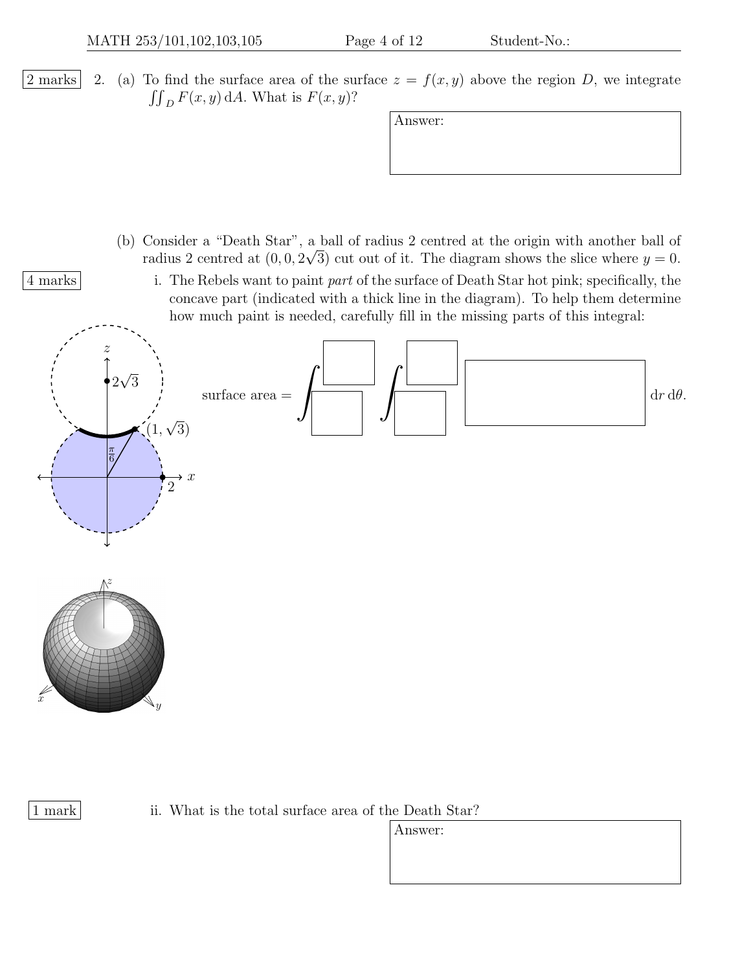2 marks 2. (a) To find the surface area of the surface  $z = f(x, y)$  above the region D, we integrate  $\iint_D F(x, y) \, dA$ . What is  $F(x, y)$ ?

- (b) Consider a "Death Star", a ball of radius 2 centred at the origin with another ball of radius 2 centred at  $(0,0,2\sqrt{3})$  cut out of it. The diagram shows the slice where  $y=0$ .
- 4 marks i. The Rebels want to paint part of the surface of Death Star hot pink; specifically, the concave part (indicated with a thick line in the diagram). To help them determine how much paint is needed, carefully fill in the missing parts of this integral:



ii. What is the total surface area of the Death Star?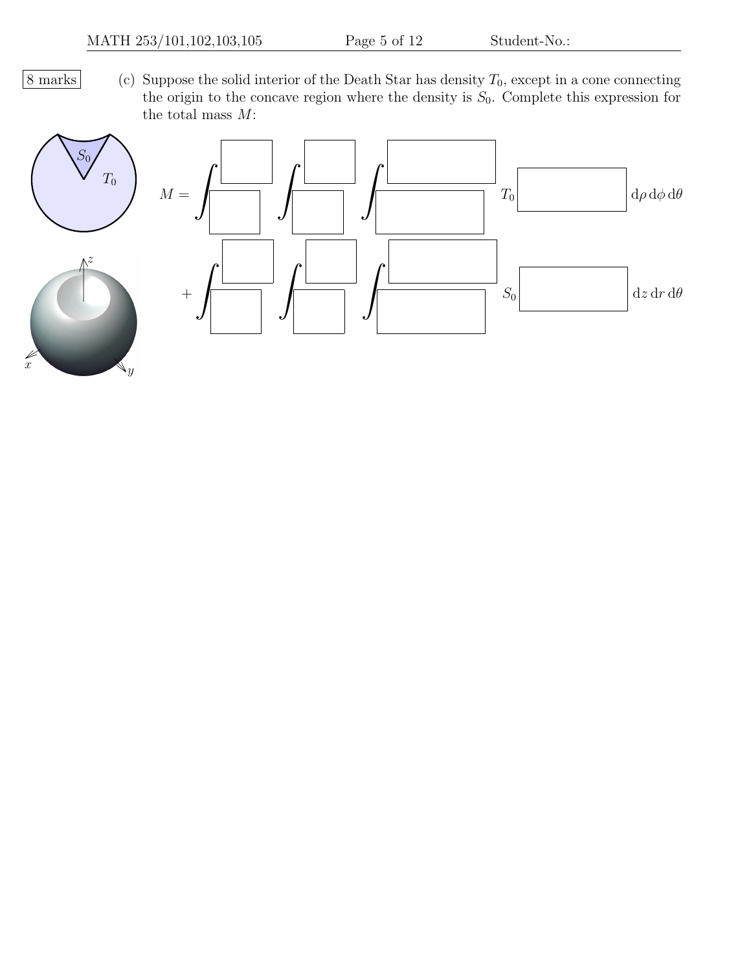$8 \text{ marks}$  (c) Suppose the solid interior of the Death Star has density  $T_0$ , except in a cone connecting the origin to the concave region where the density is  $S_0$ . Complete this expression for the total mass  $M\!$  :



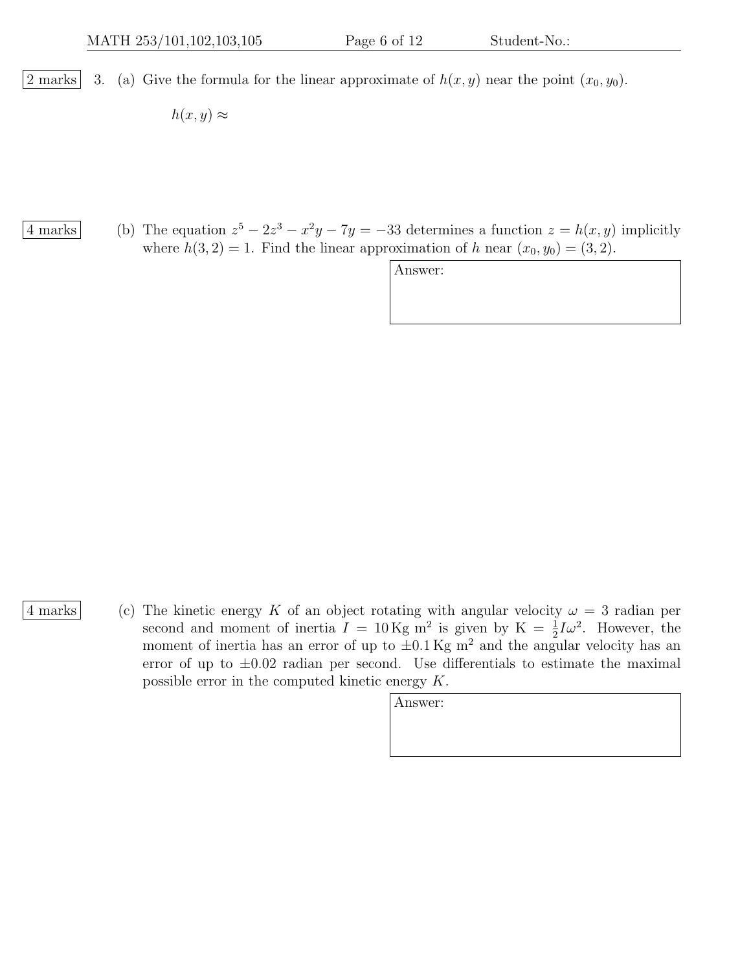|2 marks| 3. (a) Give the formula for the linear approximate of  $h(x, y)$  near the point  $(x_0, y_0)$ .

 $h(x, y) \approx$ 

4 marks (b) The equation  $z^5 - 2z^3 - x^2y - 7y = -33$  determines a function  $z = h(x, y)$  implicitly where  $h(3, 2) = 1$ . Find the linear approximation of h near  $(x_0, y_0) = (3, 2)$ .

Answer:

4 marks (c) The kinetic energy K of an object rotating with angular velocity  $\omega = 3$  radian per second and moment of inertia  $I = 10 \text{ Kg m}^2$  is given by  $K = \frac{1}{2}I\omega^2$ . However, the moment of inertia has an error of up to  $\pm 0.1$  Kg m<sup>2</sup> and the angular velocity has an error of up to  $\pm 0.02$  radian per second. Use differentials to estimate the maximal possible error in the computed kinetic energy K.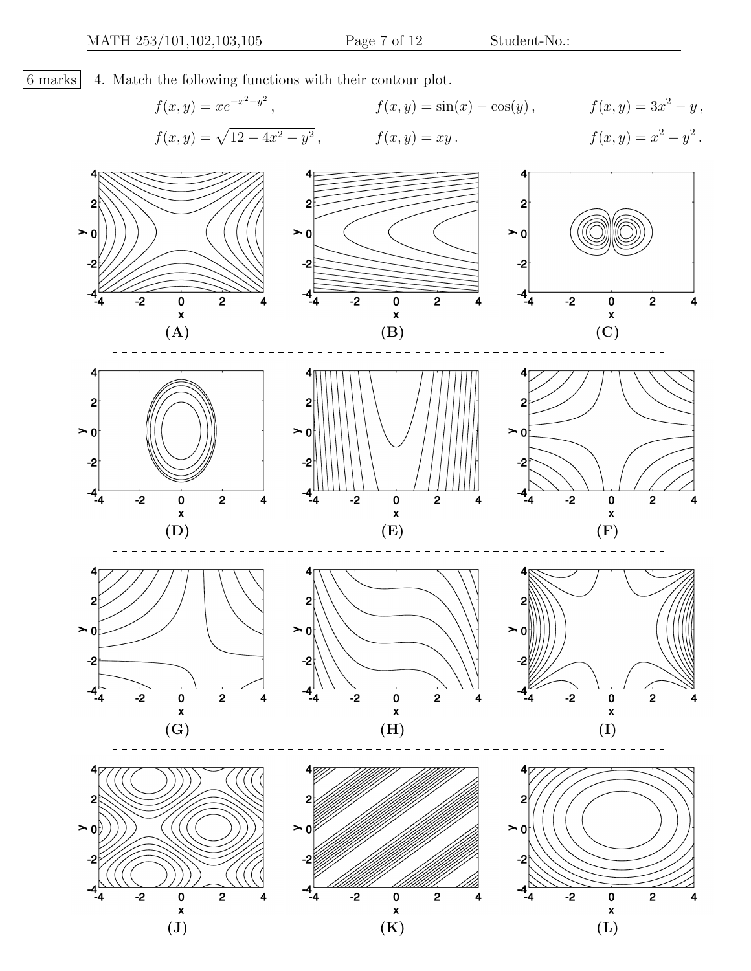6 marks 4. Match the following functions with their contour plot.

$$
f(x,y) = xe^{-x^2-y^2}, \qquad \qquad f(x,y) = \sin(x) - \cos(y), \qquad \qquad f(x,y) = 3x^2 - y,
$$
  

$$
f(x,y) = \sqrt{12 - 4x^2 - y^2}, \qquad \qquad f(x,y) = xy.
$$

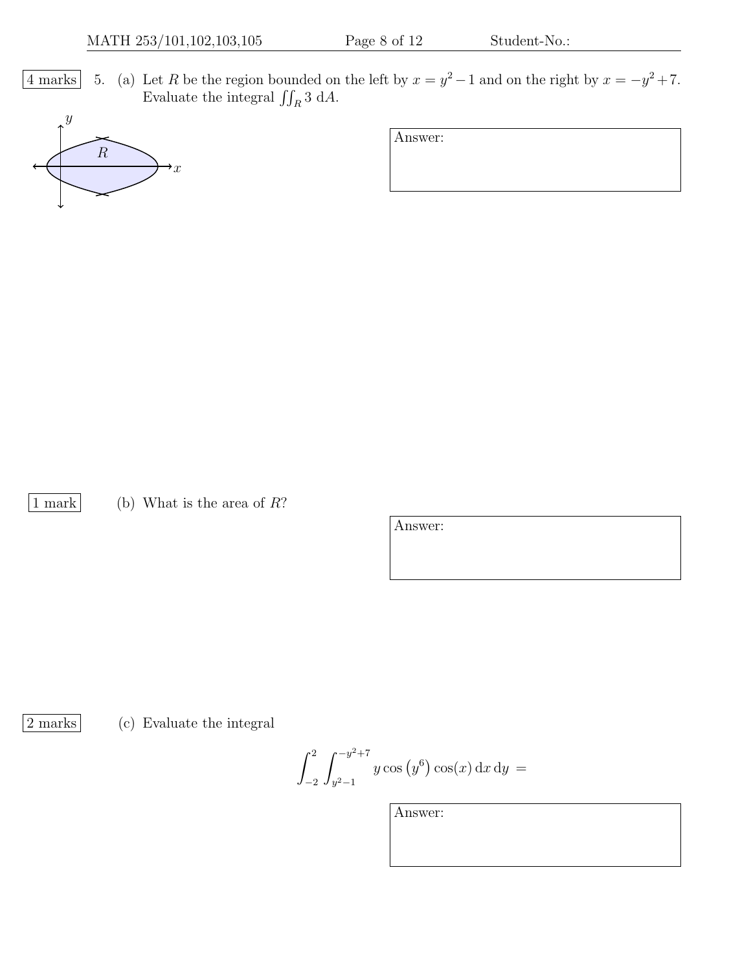4 marks 5. (a) Let R be the region bounded on the left by  $x = y^2 - 1$  and on the right by  $x = -y^2 + 7$ . Evaluate the integral  $\iint_R 3 \, dA$ .



Answer:

1 mark (b) What is the area of  $R$ ?

Answer:

2 marks (c) Evaluate the integral

 $\int_0^2$ −2  $\int$ <sup>-y<sup>2</sup>+7</sup>  $y^2-1$  $y \cos(y^6) \cos(x) dx dy =$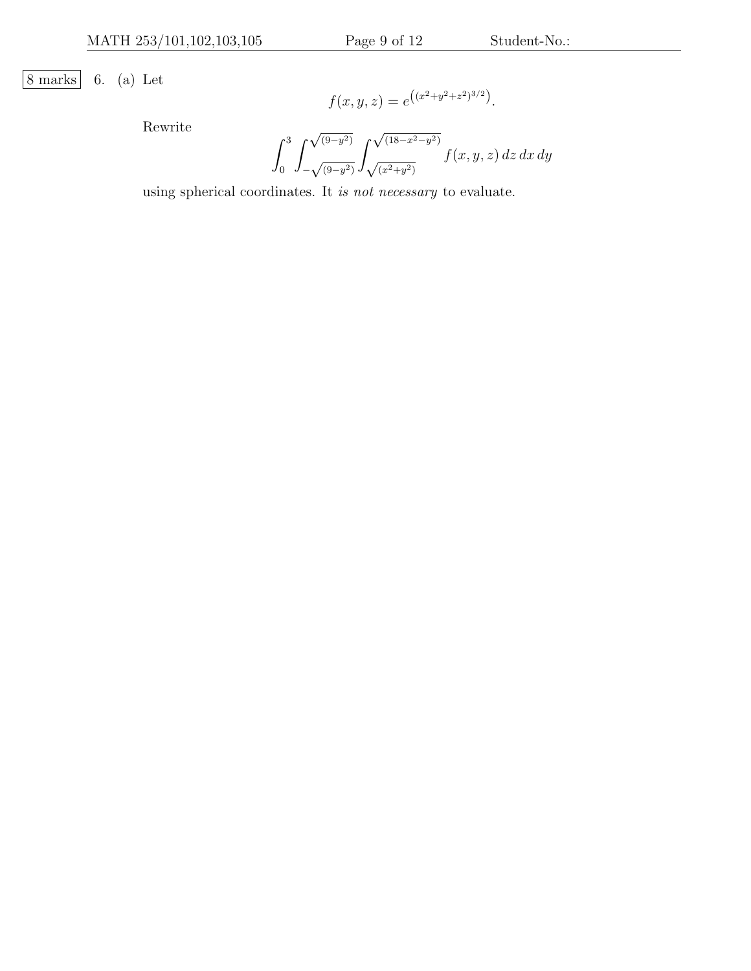8 marks 6. (a) Let

$$
f(x, y, z) = e^{((x^2 + y^2 + z^2)^{3/2})}.
$$

Rewrite

$$
\int_0^3 \int_{-\sqrt{(9-y^2)}}^{\sqrt{(9-y^2)}} \int_{\sqrt{(x^2+y^2)}}^{\sqrt{(18-x^2-y^2)}} f(x, y, z) \, dz \, dx \, dy
$$

using spherical coordinates. It is not necessary to evaluate.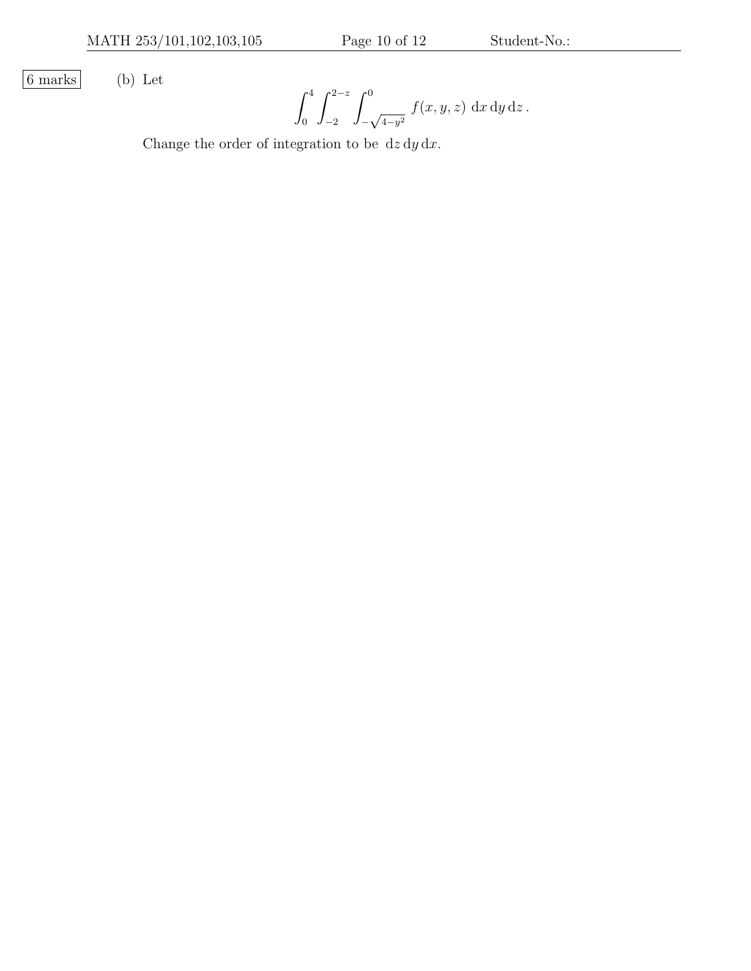6 marks (b) Let

$$
\int_0^4 \int_{-2}^{2-z} \int_{-\sqrt{4-y^2}}^0 f(x, y, z) \, dx \, dy \, dz.
$$

Change the order of integration to be  $dz dy dx$ .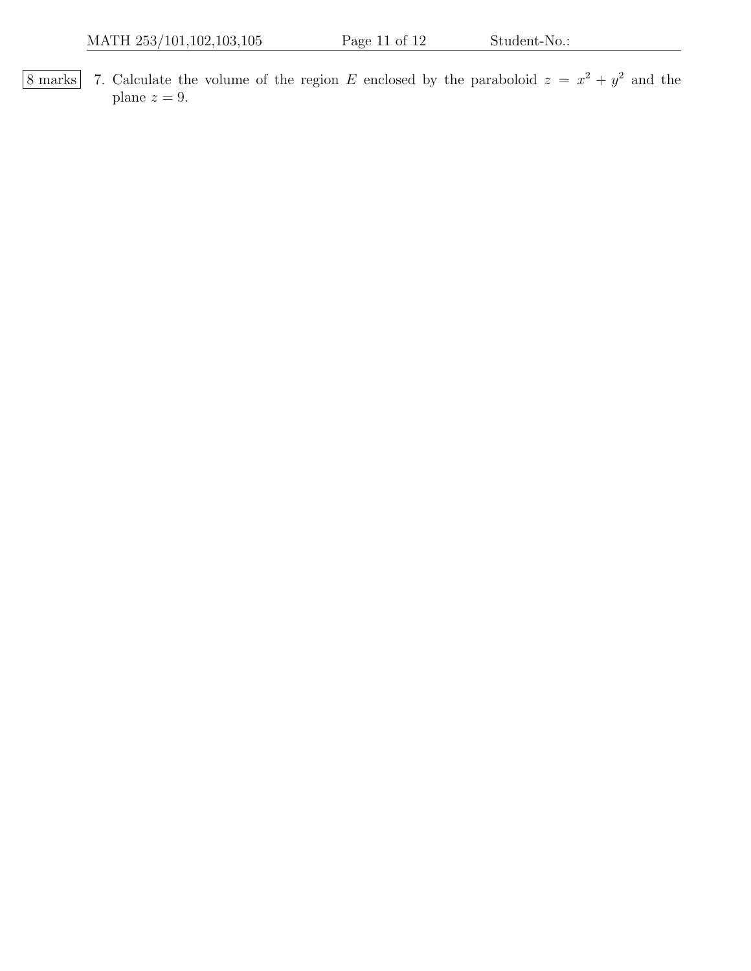8 marks | 7. Calculate the volume of the region E enclosed by the paraboloid  $z = x^2 + y^2$  and the plane  $z = 9$ .